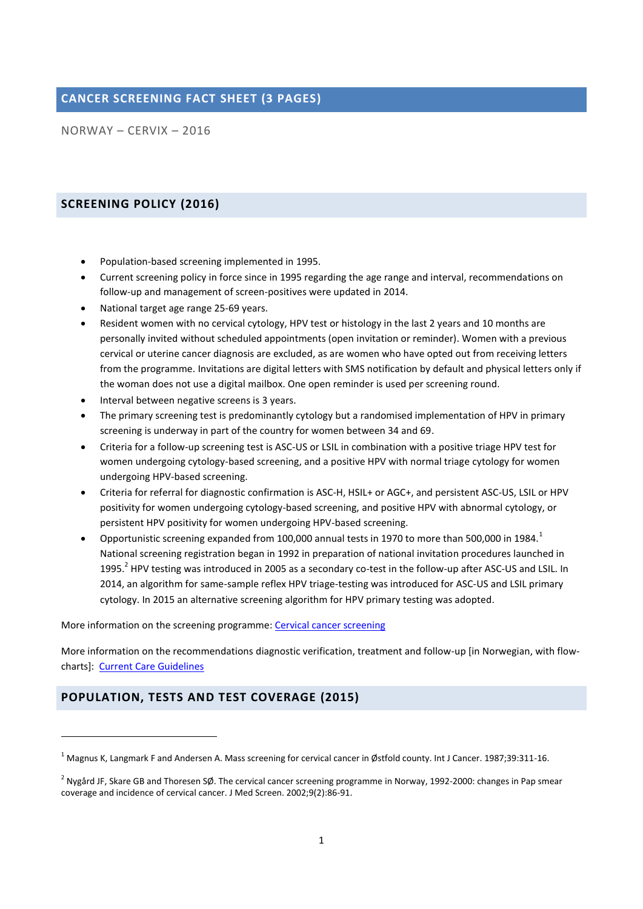## **CANCER SCREENING FACT SHEET (3 PAGES)**

NORWAY – CERVIX – 2016

## **SCREENING POLICY (2016)**

- Population-based screening implemented in 1995.
- Current screening policy in force since in 1995 regarding the age range and interval, recommendations on follow-up and management of screen-positives were updated in 2014.
- National target age range 25-69 years.
- Resident women with no cervical cytology, HPV test or histology in the last 2 years and 10 months are personally invited without scheduled appointments (open invitation or reminder). Women with a previous cervical or uterine cancer diagnosis are excluded, as are women who have opted out from receiving letters from the programme. Invitations are digital letters with SMS notification by default and physical letters only if the woman does not use a digital mailbox. One open reminder is used per screening round.
- Interval between negative screens is 3 years.
- The primary screening test is predominantly cytology but a randomised implementation of HPV in primary screening is underway in part of the country for women between 34 and 69.
- Criteria for a follow-up screening test is ASC-US or LSIL in combination with a positive triage HPV test for women undergoing cytology-based screening, and a positive HPV with normal triage cytology for women undergoing HPV-based screening.
- Criteria for referral for diagnostic confirmation is ASC-H, HSIL+ or AGC+, and persistent ASC-US, LSIL or HPV positivity for women undergoing cytology-based screening, and positive HPV with abnormal cytology, or persistent HPV positivity for women undergoing HPV-based screening.
- Opportunistic screening expanded from 100,000 annual tests in 1970 to more than 500,000 in 1984.<sup>1</sup> National screening registration began in 1992 in preparation of national invitation procedures launched in 1995.<sup>2</sup> HPV testing was introduced in 2005 as a secondary co-test in the follow-up after ASC-US and LSIL. In 2014, an algorithm for same-sample reflex HPV triage-testing was introduced for ASC-US and LSIL primary cytology. In 2015 an alternative screening algorithm for HPV primary testing was adopted.

More information on the screening programme[: Cervical cancer screening](https://www.kreftregisteret.no/en/screening/Cervical-Cancer-Screening-Programme/)

More information on the recommendations diagnostic verification, treatment and follow-up [in Norwegian, with flowcharts]: [Current Care Guidelines](http://legeforeningen.no/Fagmed/Norsk-gynekologisk-forening/Veiledere/Veileder-gynekologisk-onkologi/)

## **POPULATION, TESTS AND TEST COVERAGE (2015)**

**.** 

 $1$  Magnus K, Langmark F and Andersen A. Mass screening for cervical cancer in Østfold county. Int J Cancer. 1987;39:311-16.

<sup>&</sup>lt;sup>2</sup> Nygård JF, Skare GB and Thoresen SØ. The cervical cancer screening programme in Norway, 1992-2000: changes in Pap smear coverage and incidence of cervical cancer. J Med Screen. 2002;9(2):86-91.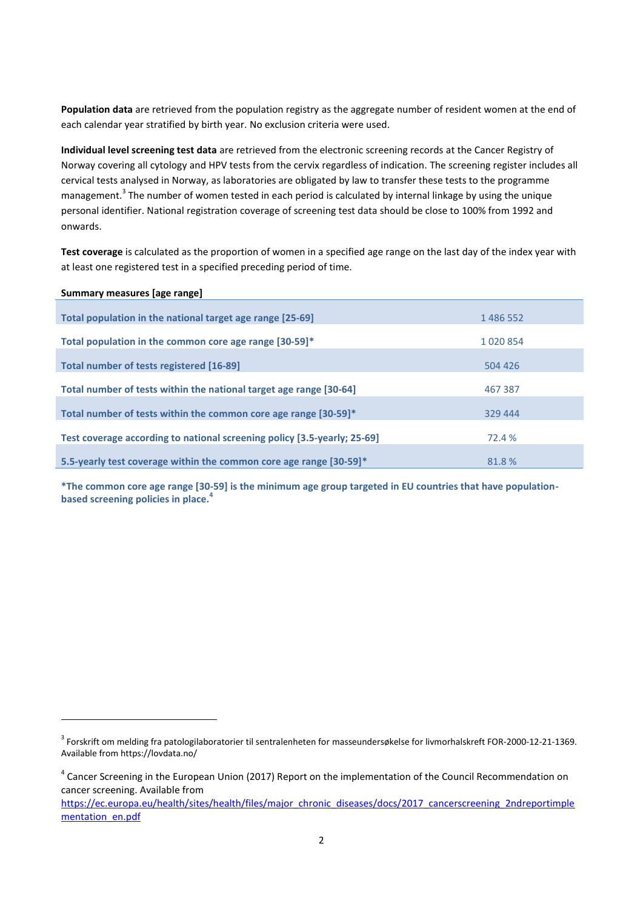**Population data** are retrieved from the population registry as the aggregate number of resident women at the end of each calendar year stratified by birth year. No exclusion criteria were used.

**Individual level screening test data** are retrieved from the electronic screening records at the Cancer Registry of Norway covering all cytology and HPV tests from the cervix regardless of indication. The screening register includes all cervical tests analysed in Norway, as laboratories are obligated by law to transfer these tests to the programme management.<sup>3</sup> The number of women tested in each period is calculated by internal linkage by using the unique personal identifier. National registration coverage of screening test data should be close to 100% from 1992 and onwards.

**Test coverage** is calculated as the proportion of women in a specified age range on the last day of the index year with at least one registered test in a specified preceding period of time.

| Summary measures [age range]                                             |         |  |
|--------------------------------------------------------------------------|---------|--|
|                                                                          |         |  |
| Total population in the national target age range [25-69]                | 1486552 |  |
|                                                                          |         |  |
| Total population in the common core age range [30-59]*                   | 1020854 |  |
|                                                                          |         |  |
| Total number of tests registered [16-89]                                 | 504 426 |  |
|                                                                          |         |  |
| Total number of tests within the national target age range [30-64]       | 467 387 |  |
| Total number of tests within the common core age range [30-59]*          | 329 444 |  |
|                                                                          |         |  |
| Test coverage according to national screening policy [3.5-yearly; 25-69] | 72.4 %  |  |
|                                                                          |         |  |
| 5.5-yearly test coverage within the common core age range [30-59]*       | 81.8%   |  |

**\*The common core age range [30-59] is the minimum age group targeted in EU countries that have populationbased screening policies in place.<sup>4</sup>**

1

<sup>3</sup> Forskrift om melding fra patologilaboratorier til sentralenheten for masseundersøkelse for livmorhalskreft FOR-2000-12-21-1369. Available from https://lovdata.no/

<sup>&</sup>lt;sup>4</sup> Cancer Screening in the European Union (2017) Report on the implementation of the Council Recommendation on cancer screening. Available from

[https://ec.europa.eu/health/sites/health/files/major\\_chronic\\_diseases/docs/2017\\_cancerscreening\\_2ndreportimple](https://ec.europa.eu/health/sites/health/files/major_chronic_diseases/docs/2017_cancerscreening_2ndreportimplementation_en.pdf) [mentation\\_en.pdf](https://ec.europa.eu/health/sites/health/files/major_chronic_diseases/docs/2017_cancerscreening_2ndreportimplementation_en.pdf)